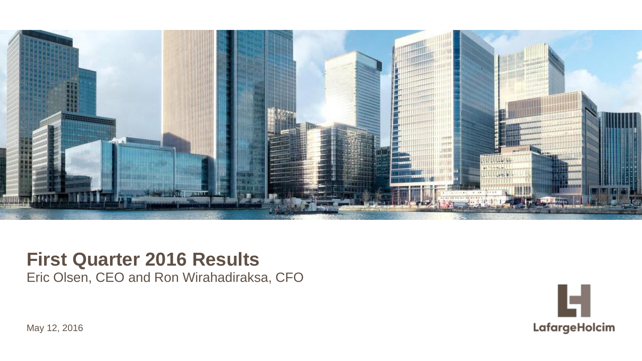

### **First Quarter 2016 Results**

Eric Olsen, CEO and Ron Wirahadiraksa, CFO



© LafargeHolcim Ltd 2015 May 12, 2016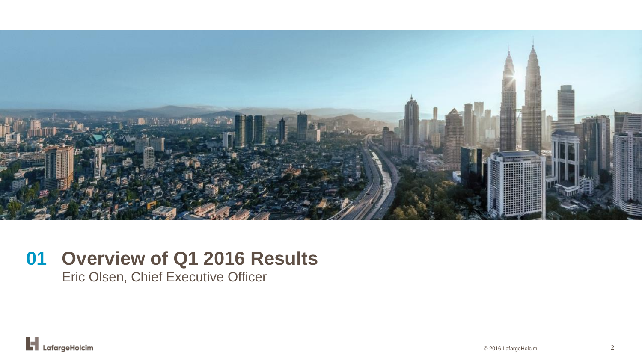

### **Overview of Q1 2016 Results 01**

Eric Olsen, Chief Executive Officer

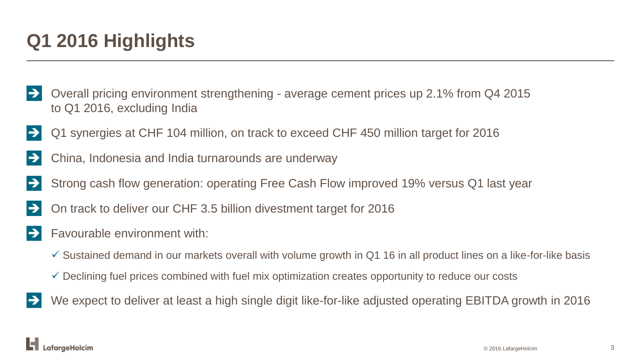### **Q1 2016 Highlights**

- Overall pricing environment strengthening average cement prices up 2.1% from Q4 2015 to Q1 2016, excluding India
- Q1 synergies at CHF 104 million, on track to exceed CHF 450 million target for 2016
- China, Indonesia and India turnarounds are underway
- Strong cash flow generation: operating Free Cash Flow improved 19% versus Q1 last year
- On track to deliver our CHF 3.5 billion divestment target for 2016
- $\Rightarrow$  Favourable environment with:
	- $\checkmark$  Sustained demand in our markets overall with volume growth in Q1 16 in all product lines on a like-for-like basis
	- $\checkmark$  Declining fuel prices combined with fuel mix optimization creates opportunity to reduce our costs
- We expect to deliver at least a high single digit like-for-like adjusted operating EBITDA growth in 2016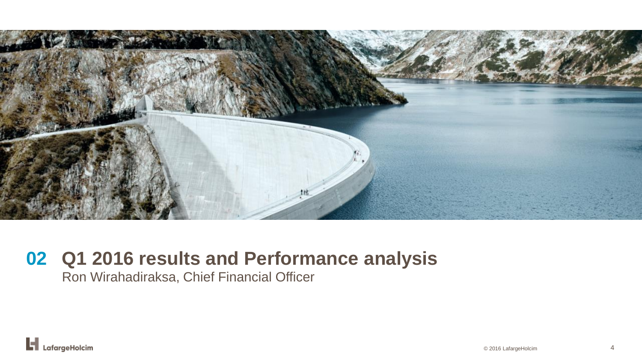

### **Q1 2016 results and Performance analysis 02**

Ron Wirahadiraksa, Chief Financial Officer

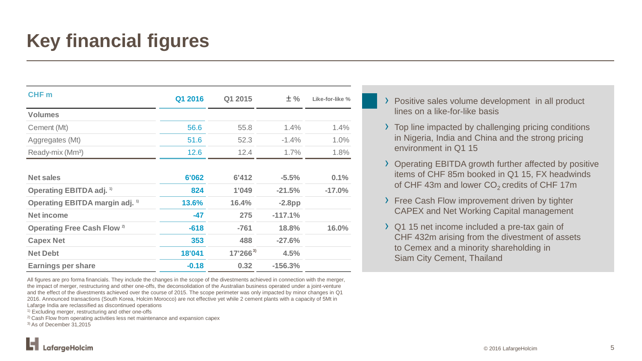## **Key financial figures**

| CHF <sub>m</sub>                           | Q1 2016 | Q1 2015      | $±$ %     | Like-for-like % |
|--------------------------------------------|---------|--------------|-----------|-----------------|
| <b>Volumes</b>                             |         |              |           |                 |
| Cement (Mt)                                | 56.6    | 55.8         | 1.4%      | 1.4%            |
| Aggregates (Mt)                            | 51.6    | 52.3         | $-1.4%$   | 1.0%            |
| Ready-mix (Mm <sup>3</sup> )               | 12.6    | 12.4         | 1.7%      | 1.8%            |
| <b>Net sales</b>                           | 6'062   | 6'412        | $-5.5%$   | 0.1%            |
| Operating EBITDA adj. <sup>1)</sup>        | 824     | 1'049        | $-21.5%$  | $-17.0%$        |
| Operating EBITDA margin adj. <sup>1)</sup> | 13.6%   | 16.4%        | $-2.8$ pp |                 |
| <b>Net income</b>                          | $-47$   | 275          | $-117.1%$ |                 |
| Operating Free Cash Flow <sup>2)</sup>     | $-618$  | $-761$       | 18.8%     | 16.0%           |
| <b>Capex Net</b>                           | 353     | 488          | $-27.6%$  |                 |
| <b>Net Debt</b>                            | 18'041  | $17'266^{3}$ | 4.5%      |                 |
| <b>Earnings per share</b>                  | $-0.18$ | 0.32         | $-156.3%$ |                 |

All figures are pro forma financials. They include the changes in the scope of the divestments achieved in connection with the merger, the impact of merger, restructuring and other one-offs, the deconsolidation of the Australian business operated under a joint-venture and the effect of the divestments achieved over the course of 2015. The scope perimeter was only impacted by minor changes in Q1 2016. Announced transactions (South Korea, Holcim Morocco) are not effective yet while 2 cement plants with a capacity of 5Mt in Lafarge India are reclassified as discontinued operations

1) Excluding merger, restructuring and other one-offs

2) Cash Flow from operating activities less net maintenance and expansion capex

3) As of December 31,2015

- › Positive sales volume development in all product lines on a like-for-like basis
- › Top line impacted by challenging pricing conditions in Nigeria, India and China and the strong pricing environment in Q1 15
- › Operating EBITDA growth further affected by positive items of CHF 85m booked in Q1 15, FX headwinds of CHF 43m and lower  $CO<sub>2</sub>$  credits of CHF 17m
- › Free Cash Flow improvement driven by tighter CAPEX and Net Working Capital management
- › Q1 15 net income included a pre-tax gain of CHF 432m arising from the divestment of assets to Cemex and a minority shareholding in Siam City Cement, Thailand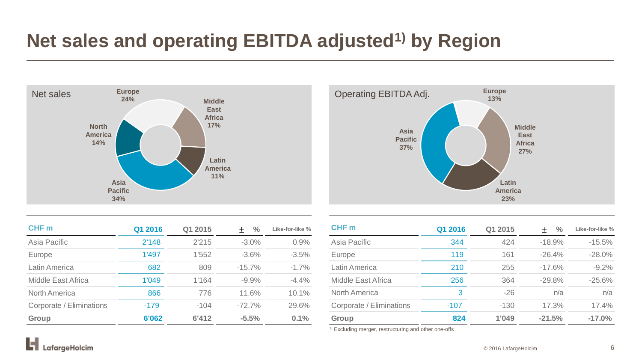### **Net sales and operating EBITDA adjusted1) by Region**



| CHF <sub>m</sub>         | Q1 2016 | Q1 2015 | $\frac{0}{0}$<br>$+$ | Like-for-like % |
|--------------------------|---------|---------|----------------------|-----------------|
| Asia Pacific             | 2'148   | 2'215   | $-3.0\%$             | 0.9%            |
| <b>Europe</b>            | 1'497   | 1'552   | $-3.6\%$             | $-3.5%$         |
| Latin America            | 682     | 809     | $-15.7%$             | $-1.7\%$        |
| Middle East Africa       | 1'049   | 1'164   | $-9.9\%$             | $-4.4\%$        |
| North America            | 866     | 776     | 11.6%                | 10.1%           |
| Corporate / Eliminations | $-179$  | $-104$  | $-72.7\%$            | 29.6%           |
| <b>Group</b>             | 6'062   | 6'412   | $-5.5%$              | 0.1%            |



| CHF <sub>m</sub>         | Q1 2016 | Q1 2015 | $\frac{0}{0}$<br>$^+$ | Like-for-like % |
|--------------------------|---------|---------|-----------------------|-----------------|
| Asia Pacific             | 344     | 424     | $-18.9%$              | $-15.5%$        |
| Europe                   | 119     | 161     | $-26.4%$              | $-28.0%$        |
| Latin America            | 210     | 255     | $-17.6%$              | $-9.2\%$        |
| Middle East Africa       | 256     | 364     | $-29.8%$              | $-25.6%$        |
| North America            | 3       | $-26$   | n/a                   | n/a             |
| Corporate / Eliminations | $-107$  | $-130$  | 17.3%                 | 17.4%           |
| Group                    | 824     | 1'049   | $-21.5%$              | $-17.0%$        |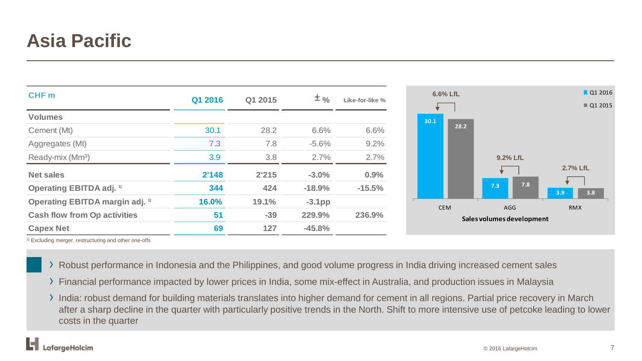### **Asia Pacific**

| CHF <sub>m</sub>                           | Q1 2016 | Q1 2015 | $± \frac{9}{6}$ |                 |
|--------------------------------------------|---------|---------|-----------------|-----------------|
|                                            |         |         |                 | Like-for-like % |
| <b>Volumes</b>                             |         |         |                 |                 |
| Cement (Mt)                                | 30.1    | 28.2    | 6.6%            | 6.6%            |
| Aggregates (Mt)                            | 7.3     | 7.8     | $-5.6%$         | 9.2%            |
| Ready-mix (Mm <sup>3</sup> )               | 3.9     | 3.8     | 2.7%            | 2.7%            |
| <b>Net sales</b>                           | 2'148   | 2'215   | $-3.0%$         | 0.9%            |
| Operating EBITDA adj. <sup>1)</sup>        | 344     | 424     | $-18.9%$        | $-15.5%$        |
| Operating EBITDA margin adj. <sup>1)</sup> | 16.0%   | 19.1%   | $-3.1$ pp       |                 |
| <b>Cash flow from Op activities</b>        | 51      | $-39$   | 229.9%          | 236.9%          |
| <b>Capex Net</b>                           | 69      | 127     | $-45.8%$        |                 |

- › Robust performance in Indonesia and the Philippines, and good volume progress in India driving increased cement sales
- › Financial performance impacted by lower prices in India, some mix-effect in Australia, and production issues in Malaysia
- › India: robust demand for building materials translates into higher demand for cement in all regions. Partial price recovery in March after a sharp decline in the quarter with particularly positive trends in the North. Shift to more intensive use of petcoke leading to lower costs in the quarter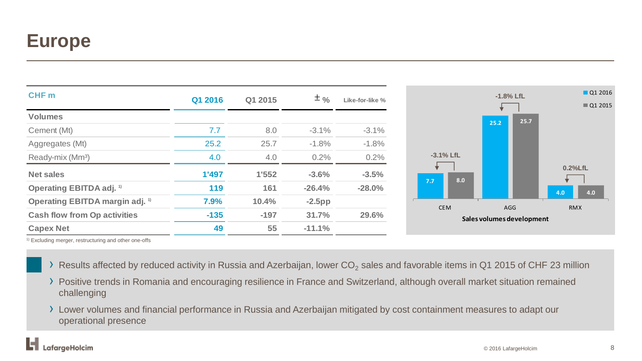### **Europe**

| CHF <sub>m</sub>                           |         |         |           |                 |              | $-1.8%$ LfL                      |      |            |
|--------------------------------------------|---------|---------|-----------|-----------------|--------------|----------------------------------|------|------------|
|                                            | Q1 2016 | Q1 2015 | $±$ %     | Like-for-like % |              |                                  |      |            |
| <b>Volumes</b>                             |         |         |           |                 |              | 25.2                             | 25.7 |            |
| Cement (Mt)                                | 7.7     | 8.0     | $-3.1%$   | $-3.1%$         |              |                                  |      |            |
| Aggregates (Mt)                            | 25.2    | 25.7    | $-1.8%$   | $-1.8%$         |              |                                  |      |            |
| Ready-mix (Mm <sup>3</sup> )               | 4.0     | 4.0     | 0.2%      | 0.2%            | $-3.1\%$ LfL |                                  |      |            |
| <b>Net sales</b>                           | 1'497   | 1'552   | $-3.6%$   | $-3.5%$         | 8.0          |                                  |      | 0.2%LfL    |
| <b>Operating EBITDA adj.</b> <sup>1)</sup> | 119     | 161     | $-26.4%$  | $-28.0%$        | 7.7          |                                  |      | 4.0        |
| Operating EBITDA margin adj. <sup>1)</sup> | 7.9%    | 10.4%   | $-2.5$ pp |                 |              |                                  |      |            |
| <b>Cash flow from Op activities</b>        | $-135$  | $-197$  | 31.7%     | 29.6%           | <b>CEM</b>   | AGG<br>Sales volumes development |      | <b>RMX</b> |
| <b>Capex Net</b>                           | 49      | 55      | $-11.1%$  |                 |              |                                  |      |            |

- > Results affected by reduced activity in Russia and Azerbaijan, lower  $CO<sub>2</sub>$  sales and favorable items in Q1 2015 of CHF 23 million
- › Positive trends in Romania and encouraging resilience in France and Switzerland, although overall market situation remained challenging
- › Lower volumes and financial performance in Russia and Azerbaijan mitigated by cost containment measures to adapt our operational presence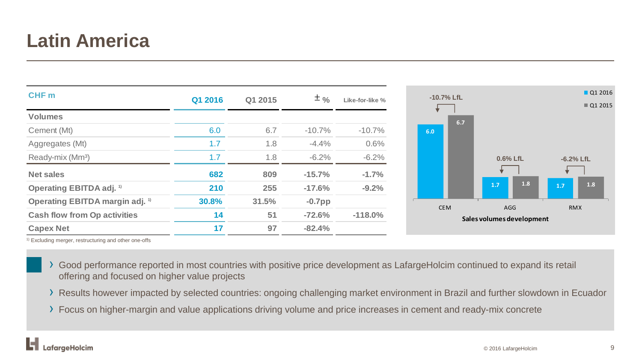### **Latin America**

| CHF <sub>m</sub>                                  | Q1 2016 | Q1 2015 | $±$ %     | Like-for-like % |
|---------------------------------------------------|---------|---------|-----------|-----------------|
|                                                   |         |         |           |                 |
| <b>Volumes</b>                                    |         |         |           |                 |
| Cement (Mt)                                       | 6.0     | 6.7     | $-10.7%$  | $-10.7%$        |
| Aggregates (Mt)                                   | 1.7     | 1.8     | $-4.4%$   | 0.6%            |
| Ready-mix (Mm <sup>3</sup> )                      | 1.7     | 1.8     | $-6.2%$   | $-6.2%$         |
| <b>Net sales</b>                                  | 682     | 809     | $-15.7%$  | $-1.7%$         |
| <b>Operating EBITDA adj.</b> <sup>1)</sup>        | 210     | 255     | $-17.6%$  | $-9.2%$         |
| <b>Operating EBITDA margin adj.</b> <sup>1)</sup> | 30.8%   | 31.5%   | $-0.7$ pp |                 |
| <b>Cash flow from Op activities</b>               | 14      | 51      | $-72.6%$  | $-118.0\%$      |
| <b>Capex Net</b>                                  | 17      | 97      | $-82.4%$  |                 |

- › Good performance reported in most countries with positive price development as LafargeHolcim continued to expand its retail offering and focused on higher value projects
- › Results however impacted by selected countries: ongoing challenging market environment in Brazil and further slowdown in Ecuador
- › Focus on higher-margin and value applications driving volume and price increases in cement and ready-mix concrete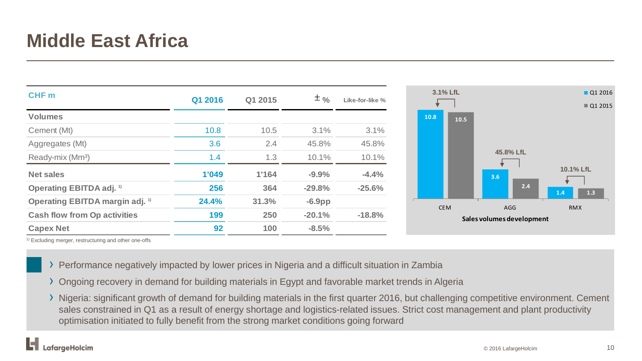### **Middle East Africa**

| CHF <sub>m</sub>                           | Q1 2016 | Q1 2015 | $± \frac{9}{6}$ | Like-for-like % |
|--------------------------------------------|---------|---------|-----------------|-----------------|
| <b>Volumes</b>                             |         |         |                 |                 |
| Cement (Mt)                                | 10.8    | 10.5    | 3.1%            | 3.1%            |
| Aggregates (Mt)                            | 3.6     | 2.4     | 45.8%           | 45.8%           |
| Ready-mix (Mm <sup>3</sup> )               | 1.4     | 1.3     | 10.1%           | 10.1%           |
| <b>Net sales</b>                           | 1'049   | 1'164   | $-9.9%$         | $-4.4%$         |
| <b>Operating EBITDA adj.</b> <sup>1)</sup> | 256     | 364     | $-29.8%$        | $-25.6%$        |
| Operating EBITDA margin adj. <sup>1)</sup> | 24.4%   | 31.3%   | $-6.9$ pp       |                 |
| <b>Cash flow from Op activities</b>        | 199     | 250     | $-20.1%$        | $-18.8%$        |
| <b>Capex Net</b>                           | 92      | 100     | $-8.5%$         |                 |

- › Performance negatively impacted by lower prices in Nigeria and a difficult situation in Zambia
- › Ongoing recovery in demand for building materials in Egypt and favorable market trends in Algeria
- › Nigeria: significant growth of demand for building materials in the first quarter 2016, but challenging competitive environment. Cement sales constrained in Q1 as a result of energy shortage and logistics-related issues. Strict cost management and plant productivity optimisation initiated to fully benefit from the strong market conditions going forward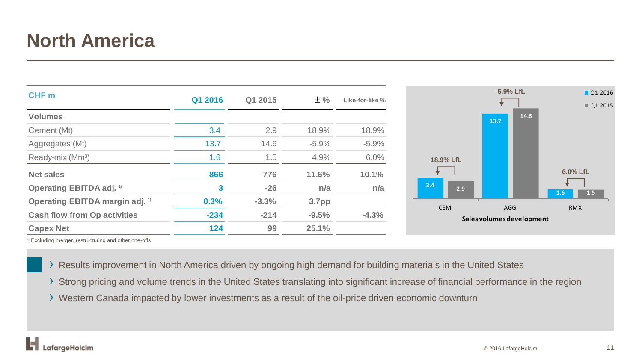### **North America**

| <b>CHF</b> m                               | Q1 2016 | Q1 2015 | $±$ %   | Like-for-like % |            | $-5.9%$ LfL                      | Q1 2016<br>Q1 2015 |
|--------------------------------------------|---------|---------|---------|-----------------|------------|----------------------------------|--------------------|
| <b>Volumes</b>                             |         |         |         |                 |            | 13.7                             | 14.6               |
| Cement (Mt)                                | 3.4     | 2.9     | 18.9%   | 18.9%           |            |                                  |                    |
| Aggregates (Mt)                            | 13.7    | 14.6    | $-5.9%$ | $-5.9\%$        |            |                                  |                    |
| Ready-mix (Mm <sup>3</sup> )               | 1.6     | 1.5     | 4.9%    | 6.0%            | 18.9% LfL  |                                  |                    |
| <b>Net sales</b>                           | 866     | 776     | 11.6%   | 10.1%           |            |                                  | 6.0% LfL           |
| <b>Operating EBITDA adj.</b> <sup>1)</sup> | 3       | $-26$   | n/a     | n/a             | 3.4<br>2.9 |                                  | 1.5<br>1.6         |
| Operating EBITDA margin adj. <sup>1)</sup> | 0.3%    | $-3.3%$ | 3.7pp   |                 |            |                                  |                    |
| <b>Cash flow from Op activities</b>        | $-234$  | $-214$  | $-9.5%$ | $-4.3%$         | <b>CEM</b> | AGG<br>Sales volumes development | <b>RMX</b>         |
| <b>Capex Net</b>                           | 124     | 99      | 25.1%   |                 |            |                                  |                    |

- › Results improvement in North America driven by ongoing high demand for building materials in the United States
- › Strong pricing and volume trends in the United States translating into significant increase of financial performance in the region
- › Western Canada impacted by lower investments as a result of the oil-price driven economic downturn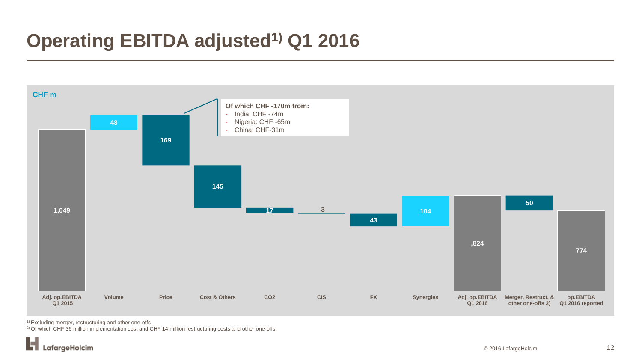### **Operating EBITDA adjusted1) Q1 2016**



<sup>1)</sup> Excluding merger, restructuring and other one-offs

2) Of which CHF 36 million implementation cost and CHF 14 million restructuring costs and other one-offs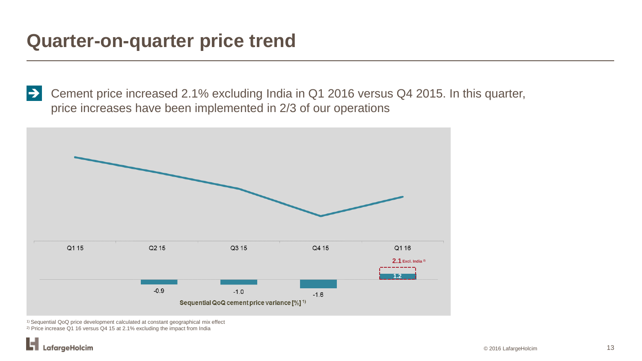### **Quarter-on-quarter price trend**

 Cement price increased 2.1% excluding India in Q1 2016 versus Q4 2015. In this quarter, price increases have been implemented in 2/3 of our operations



<sup>1)</sup> Sequential QoQ price development calculated at constant geographical mix effect 2) Price increase Q1 16 versus Q4 15 at 2.1% excluding the impact from India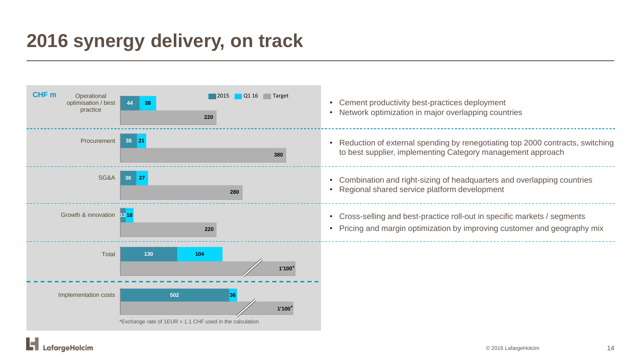### **2016 synergy delivery, on track**



.afargeHolcim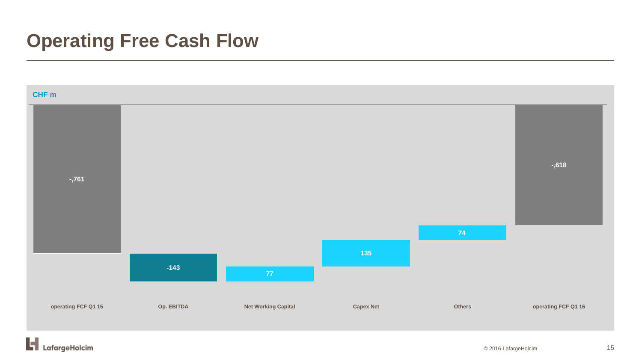### **Operating Free Cash Flow**

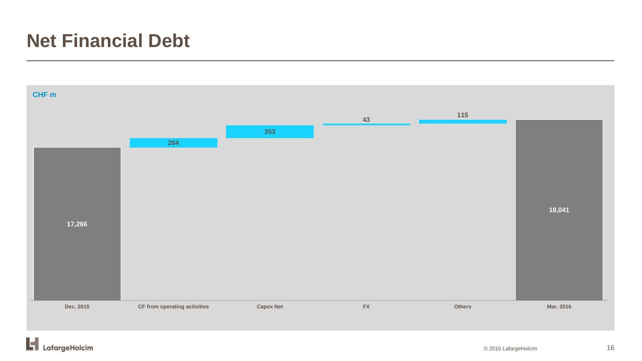### **Net Financial Debt**



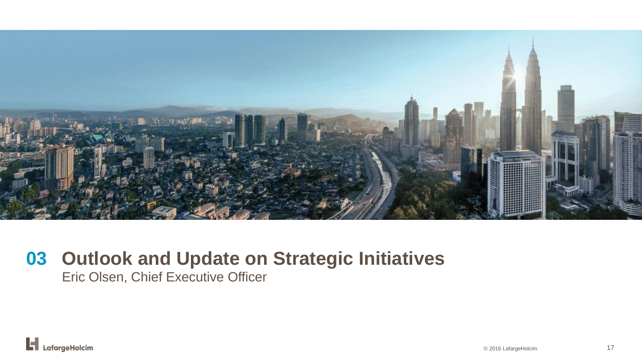

# **Outlook and Update on Strategic Initiatives 03**

Eric Olsen, Chief Executive Officer

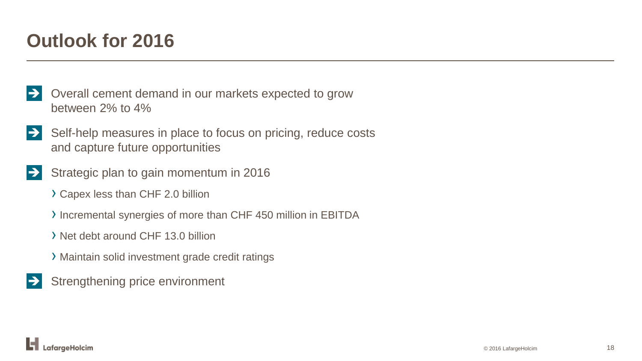### **Outlook for 2016**

- Overall cement demand in our markets expected to grow between 2% to 4%
- $\Rightarrow$  Self-help measures in place to focus on pricing, reduce costs and capture future opportunities
- Strategic plan to gain momentum in 2016
	- › Capex less than CHF 2.0 billion
	- › Incremental synergies of more than CHF 450 million in EBITDA
	- › Net debt around CHF 13.0 billion
	- › Maintain solid investment grade credit ratings
- Strengthening price environment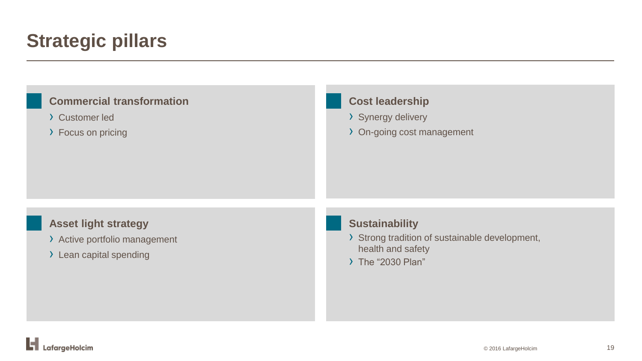### **Strategic pillars**

| <b>Commercial transformation</b>                                                        | <b>Cost leadership</b>                                                                                            |
|-----------------------------------------------------------------------------------------|-------------------------------------------------------------------------------------------------------------------|
| > Customer led                                                                          | > Synergy delivery                                                                                                |
| > Focus on pricing                                                                      | > On-going cost management                                                                                        |
| <b>Asset light strategy</b><br>> Active portfolio management<br>> Lean capital spending | <b>Sustainability</b><br>> Strong tradition of sustainable development,<br>health and safety<br>> The "2030 Plan" |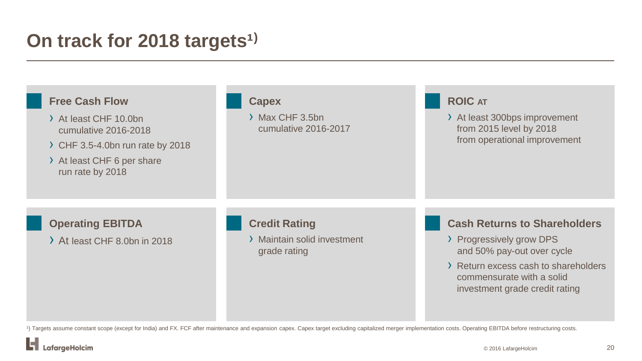### **On track for 2018 targets<sup>1)</sup>**

| <b>Free Cash Flow</b><br>> At least CHF 10.0bn<br>cumulative 2016-2018<br>CHF 3.5-4.0bn run rate by 2018<br>> At least CHF 6 per share<br>run rate by 2018 | <b>Capex</b><br>> Max CHF 3.5bn<br>cumulative 2016-2017             | <b>ROIC AT</b><br>> At least 300bps improvement<br>from 2015 level by 2018<br>from operational improvement                                                                                           |
|------------------------------------------------------------------------------------------------------------------------------------------------------------|---------------------------------------------------------------------|------------------------------------------------------------------------------------------------------------------------------------------------------------------------------------------------------|
| <b>Operating EBITDA</b><br>> At least CHF 8.0bn in 2018                                                                                                    | <b>Credit Rating</b><br>> Maintain solid investment<br>grade rating | <b>Cash Returns to Shareholders</b><br>> Progressively grow DPS<br>and 50% pay-out over cycle<br>> Return excess cash to shareholders<br>commensurate with a solid<br>investment grade credit rating |

<sup>1</sup>) Targets assume constant scope (except for India) and FX. FCF after maintenance and expansion capex. Capex target excluding capitalized merger implementation costs. Operating EBITDA before restructuring costs.

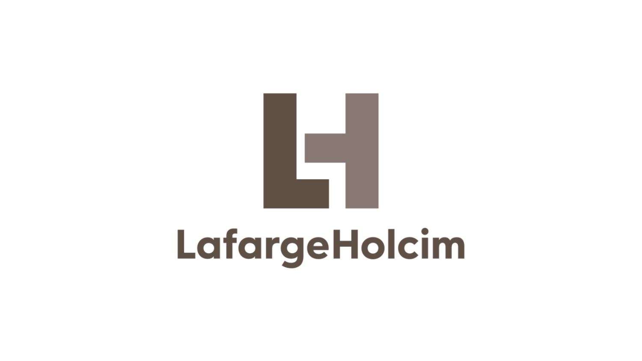

# LafargeHolcim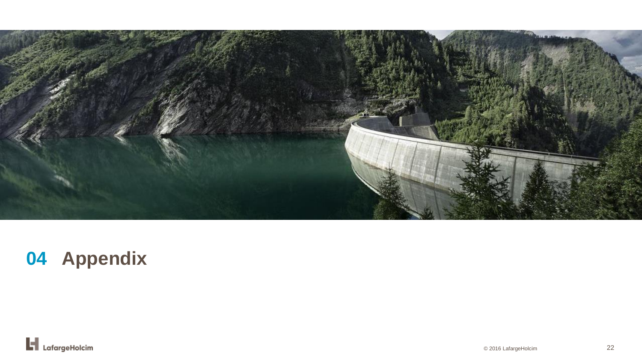

## **04 Appendix**

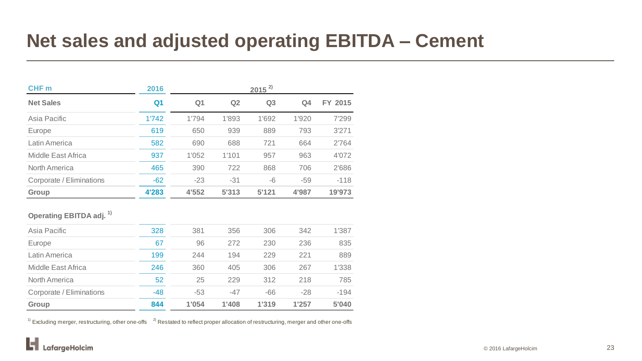### **Net sales and adjusted operating EBITDA – Cement**

| 2016           | $2015^{2}$     |       |                |       |         |  |  |
|----------------|----------------|-------|----------------|-------|---------|--|--|
| Q <sub>1</sub> | Q <sub>1</sub> | Q2    | Q <sub>3</sub> | Q4    | FY 2015 |  |  |
| 1'742          | 1'794          | 1'893 | 1'692          | 1'920 | 7'299   |  |  |
| 619            | 650            | 939   | 889            | 793   | 3'271   |  |  |
| 582            | 690            | 688   | 721            | 664   | 2'764   |  |  |
| 937            | 1'052          | 1'101 | 957            | 963   | 4'072   |  |  |
| 465            | 390            | 722   | 868            | 706   | 2'686   |  |  |
| $-62$          | $-23$          | $-31$ | -6             | $-59$ | $-118$  |  |  |
| 4'283          | 4'552          | 5'313 | 5'121          | 4'987 | 19'973  |  |  |
|                |                |       |                |       |         |  |  |

#### **Operating EBITDA adj. 1)**

| Asia Pacific             | 328   | 381   | 356   | 306   | 342   | 1'387  |
|--------------------------|-------|-------|-------|-------|-------|--------|
| Europe                   | 67    | 96    | 272   | 230   | 236   | 835    |
| Latin America            | 199   | 244   | 194   | 229   | 221   | 889    |
| Middle East Africa       | 246   | 360   | 405   | 306   | 267   | 1'338  |
| North America            | 52    | 25    | 229   | 312   | 218   | 785    |
| Corporate / Eliminations | $-48$ | $-53$ | $-47$ | $-66$ | $-28$ | $-194$ |
| Group                    | 844   | 1'054 | 1'408 | 1'319 | 1'257 | 5'040  |

 $1)$  Excluding merger, restructuring, other one-offs  $2)$  Restated to reflect proper allocation of restructuring, merger and other one-offs

ы LafargeHolcim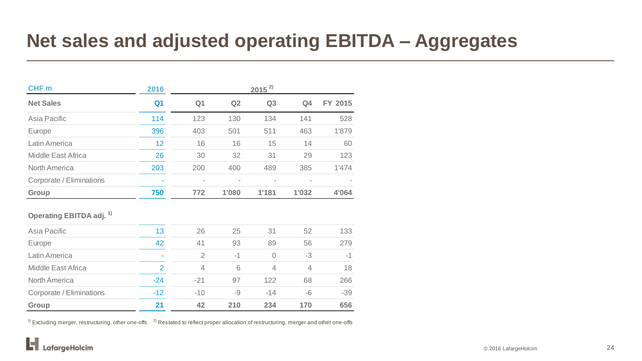### **Net sales and adjusted operating EBITDA – Aggregates**

| CHF <sub>m</sub>                    | 2016           | $2015^{2}$        |       |                |                |         |  |
|-------------------------------------|----------------|-------------------|-------|----------------|----------------|---------|--|
| <b>Net Sales</b>                    | Q <sub>1</sub> | Q <sub>1</sub>    | Q2    | Q <sub>3</sub> | Q <sub>4</sub> | FY 2015 |  |
| Asia Pacific                        | 114            | 123               | 130   | 134            | 141            | 528     |  |
| Europe                              | 396            | 403               | 501   | 511            | 463            | 1'879   |  |
| Latin America                       | 12             | 16                | 16    | 15             | 14             | 60      |  |
| <b>Middle East Africa</b>           | 26             | 30                | 32    | 31             | 29             | 123     |  |
| North America                       | 203            | 200               | 400   | 489            | 385            | 1'474   |  |
| Corporate / Eliminations            |                | $\qquad \qquad =$ |       |                |                |         |  |
| Group                               | 750            | 772               | 1'080 | 1'181          | 1'032          | 4'064   |  |
| Operating EBITDA adj. <sup>1)</sup> |                |                   |       |                |                |         |  |
| Asia Pacific                        | 13             | 26                | 25    | 31             | 52             | 133     |  |
| Europe                              | 42             | 41                | 93    | 89             | 56             | 279     |  |
| Latin America                       |                | $\overline{2}$    | $-1$  | $\sqrt{a}$     | $-3$           | $-1$    |  |
| <b>Middle East Africa</b>           | $\overline{2}$ | $\overline{4}$    | 6     | $\overline{4}$ | $\overline{4}$ | 18      |  |
| North America                       | $-24$          | $-21$             | 97    | 122            | 68             | 266     |  |
| Corporate / Eliminations            | $-12$          | $-10$             | -9    | $-14$          | $-6$           | $-39$   |  |
| Group                               | 21             | 42                | 210   | 234            | 170            | 656     |  |

 $1)$  Excluding merger, restructuring, other one-offs  $2)$  Restated to reflect proper allocation of restructuring, merger and other one-offs

ы LafargeHolcim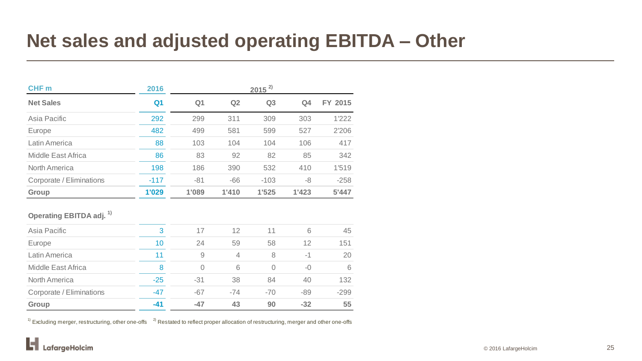### **Net sales and adjusted operating EBITDA – Other**

| CHF <sub>m</sub>         | 2016   | $2015^{2}$     |       |                |                |         |  |  |
|--------------------------|--------|----------------|-------|----------------|----------------|---------|--|--|
| <b>Net Sales</b>         | Q1     | Q <sub>1</sub> | Q2    | Q <sub>3</sub> | Q <sub>4</sub> | FY 2015 |  |  |
| Asia Pacific             | 292    | 299            | 311   | 309            | 303            | 1'222   |  |  |
| Europe                   | 482    | 499            | 581   | 599            | 527            | 2'206   |  |  |
| Latin America            | 88     | 103            | 104   | 104            | 106            | 417     |  |  |
| Middle East Africa       | 86     | 83             | 92    | 82             | 85             | 342     |  |  |
| North America            | 198    | 186            | 390   | 532            | 410            | 1'519   |  |  |
| Corporate / Eliminations | $-117$ | $-81$          | $-66$ | $-103$         | -8             | $-258$  |  |  |
| Group                    | 1'029  | 1'089          | 1'410 | 1'525          | 1'423          | 5'447   |  |  |

#### **Operating EBITDA adj. 1)**

| Asia Pacific             | 3     | 17       | 12    | 11    | 6     | 45     |
|--------------------------|-------|----------|-------|-------|-------|--------|
| Europe                   | 10    | 24       | 59    | 58    | 12    | 151    |
| Latin America            | 11    | 9        | 4     | 8     | $-1$  | 20     |
| Middle East Africa       | 8     | $\Omega$ | 6     | 0     | $-()$ | 6      |
| <b>North America</b>     | $-25$ | $-31$    | 38    | 84    | 40    | 132    |
| Corporate / Eliminations | $-47$ | $-67$    | $-74$ | $-70$ | $-89$ | $-299$ |
| Group                    | $-41$ | $-47$    | 43    | 90    | $-32$ | 55     |

 $1)$  Excluding merger, restructuring, other one-offs  $2)$  Restated to reflect proper allocation of restructuring, merger and other one-offs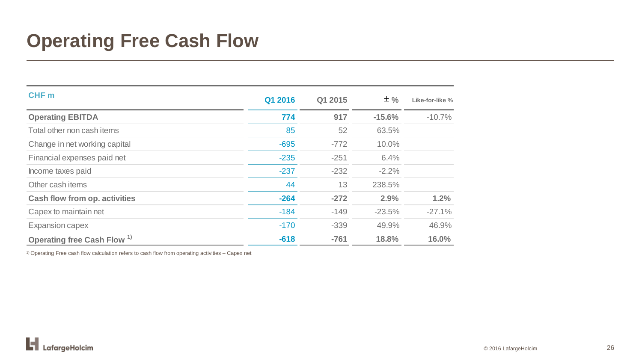### **Operating Free Cash Flow**

| CHF <sub>m</sub>                       | Q1 2016 | Q1 2015 | $±$ %    | Like-for-like % |
|----------------------------------------|---------|---------|----------|-----------------|
| <b>Operating EBITDA</b>                | 774     | 917     | $-15.6%$ | $-10.7%$        |
| Total other non cash items             | 85      | 52      | 63.5%    |                 |
| Change in net working capital          | $-695$  | $-772$  | 10.0%    |                 |
| Financial expenses paid net            | $-235$  | $-251$  | 6.4%     |                 |
| Income taxes paid                      | $-237$  | $-232$  | $-2.2%$  |                 |
| Other cash items                       | 44      | 13      | 238.5%   |                 |
| <b>Cash flow from op. activities</b>   | $-264$  | $-272$  | 2.9%     | 1.2%            |
| Capex to maintain net                  | $-184$  | $-149$  | $-23.5%$ | $-27.1%$        |
| Expansion capex                        | $-170$  | $-339$  | 49.9%    | 46.9%           |
| Operating free Cash Flow <sup>1)</sup> | $-618$  | $-761$  | 18.8%    | 16.0%           |

 $1)$  Operating Free cash flow calculation refers to cash flow from operating activities – Capex net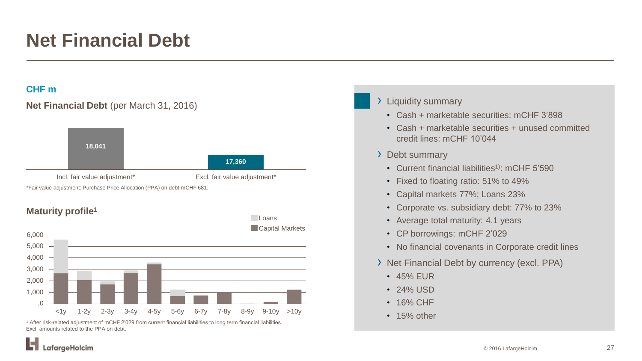### **Net Financial Debt**

### **CHF m**





<sup>1</sup> After risk-related adjustment of mCHF 2'029 from current financial liabilities to long term financial liabilities. Excl. amounts related to the PPA on debt.

#### › Liquidity summary

- Cash + marketable securities: mCHF 3'898
- Cash + marketable securities + unused committed credit lines: mCHF 10'044
- › Debt summary
	- Current financial liabilities<sup>1)</sup>: mCHF 5'590
	- Fixed to floating ratio: 51% to 49%
	- Capital markets 77%; Loans 23%
	- Corporate vs. subsidiary debt: 77% to 23%
	- Average total maturity: 4.1 years
	- CP borrowings: mCHF 2'029
	- No financial covenants in Corporate credit lines
- › Net Financial Debt by currency (excl. PPA)
	- 45% EUR
	- 24% USD
	- 16% CHF
	- 15% other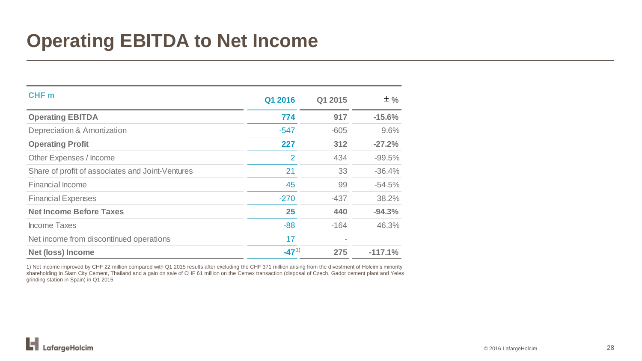### **Operating EBITDA to Net Income**

| CHF <sub>m</sub>                                 | Q1 2016   | Q1 2015 | $±$ %     |
|--------------------------------------------------|-----------|---------|-----------|
| <b>Operating EBITDA</b>                          | 774       | 917     | $-15.6%$  |
| <b>Depreciation &amp; Amortization</b>           | $-547$    | $-605$  | 9.6%      |
| <b>Operating Profit</b>                          | 227       | 312     | $-27.2%$  |
| Other Expenses / Income                          | 2         | 434     | $-99.5%$  |
| Share of profit of associates and Joint-Ventures | 21        | 33      | $-36.4%$  |
| <b>Financial Income</b>                          | 45        | 99      | $-54.5%$  |
| <b>Financial Expenses</b>                        | $-270$    | $-437$  | 38.2%     |
| <b>Net Income Before Taxes</b>                   | 25        | 440     | $-94.3%$  |
| <b>Income Taxes</b>                              | $-88$     | $-164$  | 46.3%     |
| Net income from discontinued operations          | 17        |         |           |
| <b>Net (loss) Income</b>                         | $-47^{1}$ | 275     | $-117.1%$ |

1) Net income improved by CHF 22 million compared with Q1 2015 results after excluding the CHF 371 million arising from the divestment of Holcim's minority shareholding in Siam City Cement, Thailand and a gain on sale of CHF 61 million on the Cemex transaction (disposal of Czech, Gador cement plant and Yeles grinding station in Spain) in Q1 2015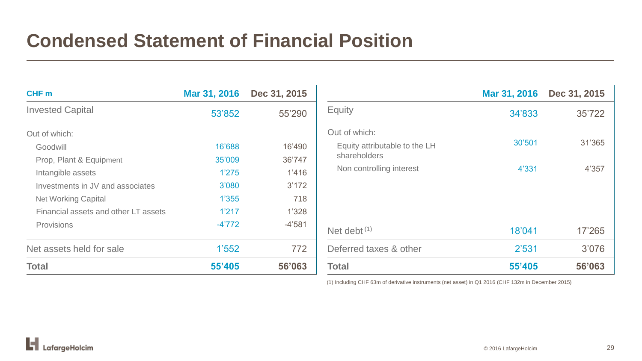### **Condensed Statement of Financial Position**

| CHF m                                | Mar 31, 2016 | Dec 31, 2015 |
|--------------------------------------|--------------|--------------|
| <b>Invested Capital</b>              | 53'852       | 55'290       |
| Out of which:                        |              |              |
| Goodwill                             | 16'688       | 16'490       |
| Prop, Plant & Equipment              | 35'009       | 36'747       |
| Intangible assets                    | 1'275        | 1'416        |
| Investments in JV and associates     | 3'080        | 3'172        |
| <b>Net Working Capital</b>           | 1'355        | 718          |
| Financial assets and other LT assets | 1'217        | 1'328        |
| Provisions                           | $-4'772$     | $-4'581$     |
| Net assets held for sale             | 1'552        | 772          |
| Total                                | 55'405       | 56'063       |

|                                                                | Mar 31, 2016 | Dec 31, 2015 |
|----------------------------------------------------------------|--------------|--------------|
| <b>Equity</b>                                                  | 34'833       | 35'722       |
| Out of which:<br>Equity attributable to the LH<br>shareholders | 30'501       | 31'365       |
| Non controlling interest                                       | 4'331        | 4'357        |
| Net debt $(1)$                                                 | 18'041       | 17'265       |
| Deferred taxes & other                                         | 2'531        | 3'076        |
| <b>Total</b>                                                   | 55'405       | 56'063       |

(1) Including CHF 63m of derivative instruments (net asset) in Q1 2016 (CHF 132m in December 2015)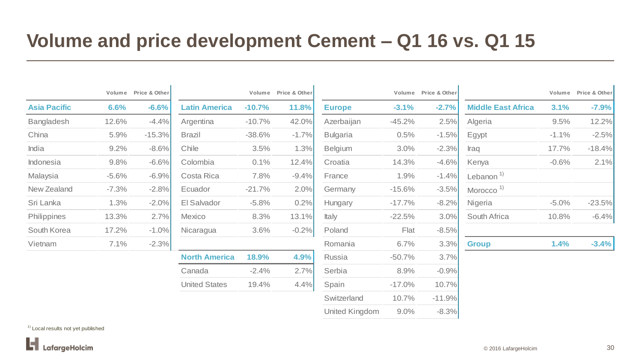### **Volume and price development Cement – Q1 16 vs. Q1 15**

|                     |         | Volume Price & Other |                      |          | Volume Price & Other |                 |           | Volume Price & Other |                           |          | Volume Price & Other |
|---------------------|---------|----------------------|----------------------|----------|----------------------|-----------------|-----------|----------------------|---------------------------|----------|----------------------|
| <b>Asia Pacific</b> | 6.6%    | $-6.6%$              | <b>Latin America</b> | $-10.7%$ | 11.8%                | <b>Europe</b>   | $-3.1%$   | $-2.7%$              | <b>Middle East Africa</b> | 3.1%     | $-7.9%$              |
| Bangladesh          | 12.6%   | $-4.4%$              | Argentina            | $-10.7%$ | 42.0%                | Azerbaijan      | $-45.2%$  | 2.5%                 | Algeria                   | 9.5%     | 12.2%                |
| China               | 5.9%    | $-15.3%$             | <b>Brazil</b>        | $-38.6%$ | $-1.7%$              | <b>Bulgaria</b> | 0.5%      | $-1.5%$              | Egypt                     | $-1.1\%$ | $-2.5%$              |
| India               | 9.2%    | $-8.6%$              | Chile                | 3.5%     | 1.3%                 | Belgium         | 3.0%      | $-2.3%$              | Iraq                      | 17.7%    | $-18.4%$             |
| Indonesia           | 9.8%    | $-6.6%$              | Colombia             | 0.1%     | 12.4%                | Croatia         | 14.3%     | $-4.6%$              | Kenya                     | $-0.6%$  | 2.1%                 |
| Malaysia            | $-5.6%$ | $-6.9%$              | Costa Rica           | 7.8%     | $-9.4%$              | France          | 1.9%      | $-1.4%$              | Lebanon <sup>1)</sup>     |          |                      |
| New Zealand         | $-7.3%$ | $-2.8%$              | Ecuador              | $-21.7%$ | 2.0%                 | Germany         | $-15.6%$  | $-3.5%$              | Morocco <sup>1)</sup>     |          |                      |
| Sri Lanka           | 1.3%    | $-2.0%$              | El Salvador          | $-5.8\%$ | 0.2%                 | Hungary         | $-17.7\%$ | $-8.2%$              | Nigeria                   | $-5.0\%$ | $-23.5%$             |
| Philippines         | 13.3%   | 2.7%                 | Mexico               | 8.3%     | 13.1%                | <b>Italy</b>    | $-22.5%$  | 3.0%                 | South Africa              | 10.8%    | $-6.4\%$             |
| South Korea         | 17.2%   | $-1.0%$              | Nicaragua            | 3.6%     | $-0.2%$              | Poland          | Flat      | $-8.5%$              |                           |          |                      |
| Vietnam             | 7.1%    | $-2.3%$              |                      |          |                      | Romania         | 6.7%      | 3.3%                 | <b>Group</b>              | 1.4%     | $-3.4%$              |
|                     |         |                      | <b>North America</b> | 18.9%    | 4.9%                 | Russia          | $-50.7%$  | 3.7%                 |                           |          |                      |
|                     |         |                      | Canada               | $-2.4%$  | 2.7%                 | Serbia          | 8.9%      | $-0.9%$              |                           |          |                      |
|                     |         |                      | <b>United States</b> | 19.4%    | 4.4%                 | Spain           | $-17.0\%$ | 10.7%                |                           |          |                      |
|                     |         |                      |                      |          |                      | Switzerland     | 10.7%     | $-11.9%$             |                           |          |                      |
|                     |         |                      |                      |          |                      | United Kingdom  | 9.0%      | $-8.3%$              |                           |          |                      |

 $1$ <sup>1)</sup> Local results not yet published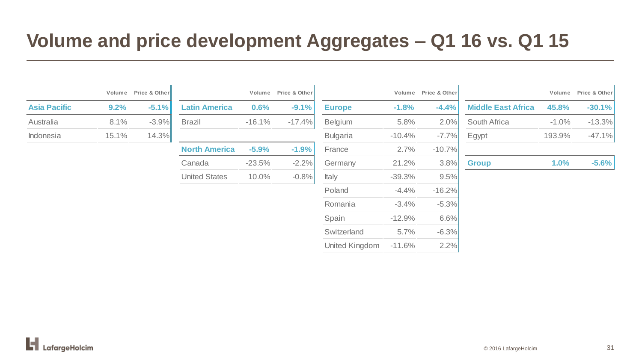### **Volume and price development Aggregates – Q1 16 vs. Q1 15**

|                     | Volume  | Price & Other |
|---------------------|---------|---------------|
| <b>Asia Pacific</b> | $9.2\%$ | $-5.1%$       |
| Australia           | 8.1%    | $-3.9%$       |
| Indonesia           | 15.1%   | 14.3%         |

| <b>Latin America</b> | 0.6%     | $-9.1%$  | <b>Europe</b>   | $-1.8%$  | $-4.4%$  |
|----------------------|----------|----------|-----------------|----------|----------|
| <b>Brazil</b>        | $-16.1%$ | $-17.4%$ | <b>Belgium</b>  | 5.8%     | 2.0%     |
|                      |          |          | <b>Bulgaria</b> | $-10.4%$ | $-7.7%$  |
| <b>North America</b> | $-5.9%$  | $-1.9%$  | France          | 2.7%     | $-10.7%$ |
| Canada               | $-23.5%$ | $-2.2%$  | Germany         | 21.2%    | 3.8%     |
| <b>United States</b> | 10.0%    | $-0.8%$  | <b>Italy</b>    | $-39.3%$ | 9.5%     |
|                      |          |          |                 |          |          |

|          | Volume Price & Other |
|----------|----------------------|
| $-1.8%$  | $-4.4%$              |
| 5.8%     | 2.0%                 |
| $-10.4%$ | $-7.7%$              |
| 2.7%     | $-10.7%$             |
| 21.2%    | 3.8%                 |
| $-39.3%$ | 9.5%                 |
| $-4.4%$  | $-16.2%$             |
| $-3.4%$  | $-5.3%$              |
| $-12.9%$ | 6.6%                 |
| 5.7%     | $-6.3%$              |
| $-11.6%$ | 2.2%                 |
|          |                      |

 $\mathbf{L}$ 

|                     |       | Volume Price & Other |                      |          | Volume Price & Other |                 |           | Volume Price & Other |                           |          | Volume Price & Other |
|---------------------|-------|----------------------|----------------------|----------|----------------------|-----------------|-----------|----------------------|---------------------------|----------|----------------------|
| <b>Asia Pacific</b> | 9.2%  | $-5.1%$              | <b>Latin America</b> | 0.6%     | $-9.1\%$             | <b>Europe</b>   | $-1.8%$   | $-4.4%$              | <b>Middle East Africa</b> | 45.8%    | $-30.1\%$            |
| Australia           | 8.1%  | $-3.9%$              | <b>Brazil</b>        | $-16.1%$ | $-17.4\%$            | <b>Belgium</b>  | 5.8%      | $2.0\%$              | <b>South Africa</b>       | $-1.0\%$ | $-13.3\%$            |
| Indonesia           | 15.1% | 14.3%                |                      |          |                      | <b>Bulgaria</b> | $-10.4\%$ | $-7.7\%$             | Egypt                     | 193.9%   | $-47.1%$             |
|                     |       |                      | <b>North America</b> | $-5.9%$  | $-1.9%$              | France          | 2.7%      | $-10.7\%$            |                           |          |                      |
|                     |       |                      | Canada               | $-23.5%$ | $-2.2\%$             | Germany         | 21.2%     | $3.8\%$              | <b>Group</b>              | $1.0\%$  | $-5.6\%$             |
|                     |       |                      |                      |          | .                    |                 |           |                      |                           |          |                      |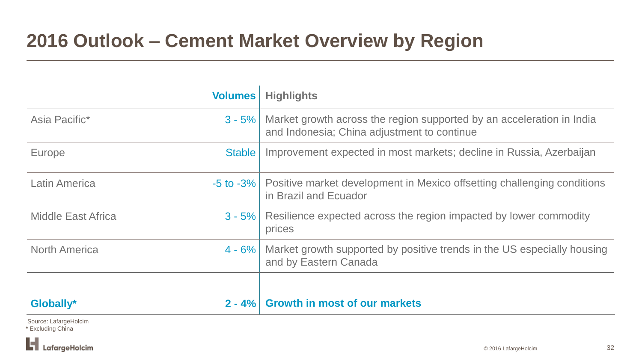### **2016 Outlook – Cement Market Overview by Region**

|                           | <b>Volumes</b> | <b>Highlights</b>                                                                                                    |
|---------------------------|----------------|----------------------------------------------------------------------------------------------------------------------|
| Asia Pacific*             | $3 - 5%$       | Market growth across the region supported by an acceleration in India<br>and Indonesia; China adjustment to continue |
| Europe                    | Stable         | Improvement expected in most markets; decline in Russia, Azerbaijan                                                  |
| <b>Latin America</b>      |                | -5 to -3%   Positive market development in Mexico offsetting challenging conditions<br>in Brazil and Ecuador         |
| <b>Middle East Africa</b> |                | 3 - 5%   Resilience expected across the region impacted by lower commodity<br>prices                                 |
| <b>North America</b>      | $4 - 6\%$      | Market growth supported by positive trends in the US especially housing<br>and by Eastern Canada                     |
|                           |                |                                                                                                                      |
| Globally*                 | $2 - 4%$       | <b>Growth in most of our markets</b>                                                                                 |
|                           |                |                                                                                                                      |

Source: LafargeHolcim \* Excluding China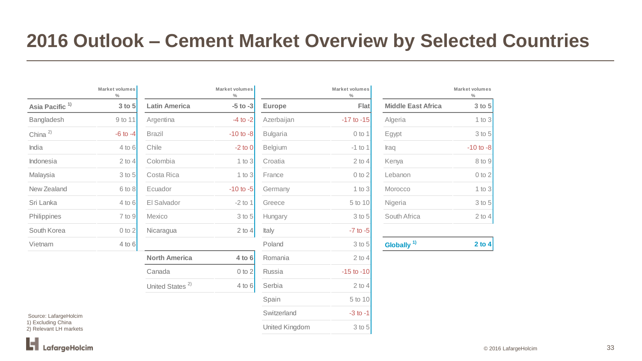### **2016 Outlook – Cement Market Overview by Selected Countries**

|                            | <b>Market volumes</b><br>% |
|----------------------------|----------------------------|
| Asia Pacific <sup>1)</sup> | $3$ to $5$                 |
| Bangladesh                 | 9 to 11                    |
| China $^{2)}$              | $-6$ to $-4$               |
| India                      | 4 to 6                     |
| Indonesia                  | $2$ to 4                   |
| Malaysia                   | 3 to 5                     |
| New Zealand                | 6 to 8                     |
| Sri Lanka                  | 4 to 6                     |
| Philippines                | 7 to 9                     |
| South Korea                | 0 to 2                     |
| Vietnam                    | 4 to 6                     |

|                            | Market volumes<br>$\%$ |                             | Market volumes<br>$\frac{0}{0}$ |                 | Market volumes<br>$\frac{0}{0}$ |
|----------------------------|------------------------|-----------------------------|---------------------------------|-----------------|---------------------------------|
| Asia Pacific <sup>1)</sup> | $3$ to $5$             | <b>Latin America</b>        | $-5$ to $-3$                    | <b>Europe</b>   | Flat                            |
| <b>Bangladesh</b>          | 9 to 11                | Argentina                   | $-4$ to $-2$                    | Azerbaijan      | $-17$ to $-15$                  |
| China <sup>2)</sup>        | $-6$ to $-4$           | <b>Brazil</b>               | $-10$ to $-8$                   | <b>Bulgaria</b> | $0$ to 1                        |
| India                      | $4$ to $6$             | Chile                       | $-2$ to 0                       | Belgium         | $-1$ to 1                       |
| Indonesia                  | $2$ to $4$             | Colombia                    | $1$ to $3$                      | Croatia         | $2$ to $4$                      |
| Malaysia                   | 3 to 5                 | Costa Rica                  | $1$ to $3$                      | France          | $0$ to $2$                      |
| New Zealand                | 6 to 8                 | Ecuador                     | $-10$ to $-5$                   | Germany         | $1$ to $3$                      |
| Sri Lanka                  | $4$ to $6$             | El Salvador                 | $-2$ to 1                       | Greece          | 5 to 10                         |
| Philippines                | 7 to 9                 | Mexico                      | $3$ to $5$                      | Hungary         | 3 to 5                          |
| South Korea                | $0$ to $2$             | Nicaragua                   | 2 to 4                          | Italy           | $-7$ to $-5$                    |
| Vietnam                    | 4 to $6$               |                             |                                 | Poland          | 3 to 5                          |
|                            |                        | <b>North America</b>        | $4$ to $6$                      | Romania         | $2$ to $4$                      |
|                            |                        | Canada                      | $0$ to $2$                      | Russia          | $-15$ to $-10$                  |
|                            |                        | United States <sup>2)</sup> | $4$ to $6$                      | Serbia          | $2$ to $4$                      |
|                            |                        |                             |                                 |                 |                                 |

|                                        | Market volumes<br>$\%$ |                             | Market volumes<br>$\%$ |                 | Market volumes<br>$\%$ |                           | Market volumes<br>$\frac{0}{0}$ |
|----------------------------------------|------------------------|-----------------------------|------------------------|-----------------|------------------------|---------------------------|---------------------------------|
| Asia Pacific <sup>1)</sup>             | 3 to 5                 | <b>Latin America</b>        | $-5$ to $-3$           | <b>Europe</b>   | <b>Flat</b>            | <b>Middle East Africa</b> | 3 to 5                          |
| Bangladesh                             | 9 to 11                | Argentina                   | $-4$ to $-2$           | Azerbaijan      | $-17$ to $-15$         | Algeria                   | $1$ to $3$                      |
| China <sup>2)</sup>                    | $-6$ to $-4$           | <b>Brazil</b>               | $-10$ to $-8$          | <b>Bulgaria</b> | $0$ to 1               | Egypt                     | 3 to 5                          |
| India                                  | $4$ to 6               | Chile                       | $-2$ to 0              | <b>Belgium</b>  | $-1$ to 1              | Iraq                      | $-10$ to $-8$                   |
| Indonesia                              | $2$ to $4$             | Colombia                    | 1 to $3$               | Croatia         | $2$ to $4$             | Kenya                     | 8 to 9                          |
| Malaysia                               | $3$ to $5$             | Costa Rica                  | 1 to $3$               | France          | $0$ to $2$             | Lebanon                   | $0$ to $2$                      |
| New Zealand                            | 6 to 8                 | Ecuador                     | $-10$ to $-5$          | Germany         | $1$ to $3$             | Morocco                   | $1$ to $3$                      |
| Sri Lanka                              | $4$ to $6$             | El Salvador                 | $-2$ to 1              | Greece          | 5 to 10                | Nigeria                   | 3 to 5                          |
| Philippines                            | 7 to 9                 | Mexico                      | 3 to 5                 | Hungary         | 3 to 5                 | South Africa              | $2$ to 4                        |
| South Korea                            | $0$ to $2$             | Nicaragua                   | $2$ to $4$             | Italy           | $-7$ to $-5$           |                           |                                 |
| Vietnam                                | $4$ to 6               |                             |                        | Poland          | 3 to 5                 | Globally $1$              | $2$ to $4$                      |
|                                        |                        | <b>North America</b>        | $4$ to $6$             | Romania         | $2$ to 4               |                           |                                 |
|                                        |                        | Canada                      | $0$ to $2$             | Russia          | $-15$ to $-10$         |                           |                                 |
|                                        |                        | United States <sup>2)</sup> | $4$ to 6               | Serbia          | $2$ to $4$             |                           |                                 |
|                                        |                        |                             |                        | Spain           | 5 to 10                |                           |                                 |
| Source: LafargeHolcim                  |                        |                             |                        | Switzerland     | $-3$ to $-1$           |                           |                                 |
| Excluding China<br>Relevant LH markets |                        |                             |                        | United Kingdom  | 3 to 5                 |                           |                                 |

|                           | <b>Market volumes</b><br>$\frac{0}{0}$ |
|---------------------------|----------------------------------------|
| <b>Middle East Africa</b> | 3 to 5                                 |
| Algeria                   | 1 to $3$                               |
| Egypt                     | $3$ to $5$                             |
| Iraq                      | $-10$ to $-8$                          |
| Kenya                     | 8 to 9                                 |
| Lebanon                   | $0$ to $2$                             |
| Morocco                   | 1 to $3$                               |
| Nigeria                   | 3 to 5                                 |
| South Africa              | $2$ to                                 |
|                           |                                        |

| Globally $1$ | 2 to $4$ |
|--------------|----------|
|              |          |

Source: LafargeHolcim 1) Excluding China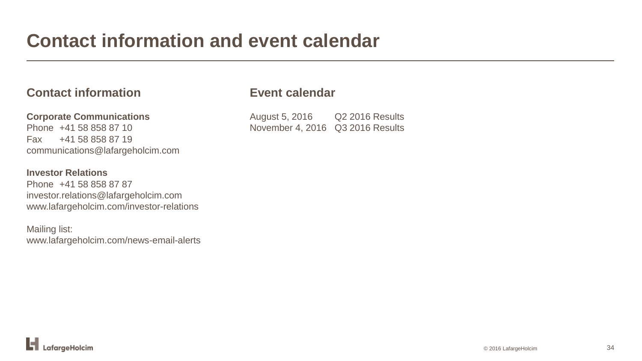### **Contact information and event calendar**

### **Contact information**

**Corporate Communications** Phone +41 58 858 87 10 Fax +41 58 858 87 19 communications@lafargeholcim.com

#### **Investor Relations**

Phone +41 58 858 87 87 investor.relations@lafargeholcim.com www.lafargeholcim.com/investor-relations

Mailing list: www.lafargeholcim.com/news-email-alerts

### **Event calendar**

August 5, 2016 Q2 2016 Results November 4, 2016 Q3 2016 Results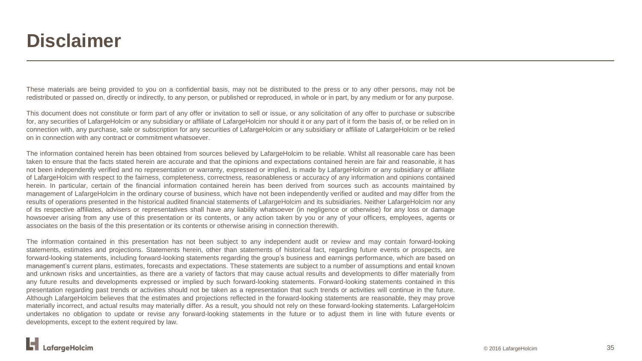### **Disclaimer**

These materials are being provided to you on a confidential basis, may not be distributed to the press or to any other persons, may not be redistributed or passed on, directly or indirectly, to any person, or published or reproduced, in whole or in part, by any medium or for any purpose.

This document does not constitute or form part of any offer or invitation to sell or issue, or any solicitation of any offer to purchase or subscribe for, any securities of LafargeHolcim or any subsidiary or affiliate of LafargeHolcim nor should it or any part of it form the basis of, or be relied on in connection with, any purchase, sale or subscription for any securities of LafargeHolcim or any subsidiary or affiliate of LafargeHolcim or be relied on in connection with any contract or commitment whatsoever.

The information contained herein has been obtained from sources believed by LafargeHolcim to be reliable. Whilst all reasonable care has been taken to ensure that the facts stated herein are accurate and that the opinions and expectations contained herein are fair and reasonable, it has not been independently verified and no representation or warranty, expressed or implied, is made by LafargeHolcim or any subsidiary or affiliate of LafargeHolcim with respect to the fairness, completeness, correctness, reasonableness or accuracy of any information and opinions contained herein. In particular, certain of the financial information contained herein has been derived from sources such as accounts maintained by management of LafargeHolcim in the ordinary course of business, which have not been independently verified or audited and may differ from the results of operations presented in the historical audited financial statements of LafargeHolcim and its subsidiaries. Neither LafargeHolcim nor any of its respective affiliates, advisers or representatives shall have any liability whatsoever (in negligence or otherwise) for any loss or damage howsoever arising from any use of this presentation or its contents, or any action taken by you or any of your officers, employees, agents or associates on the basis of the this presentation or its contents or otherwise arising in connection therewith.

The information contained in this presentation has not been subject to any independent audit or review and may contain forward-looking statements, estimates and projections. Statements herein, other than statements of historical fact, regarding future events or prospects, are forward-looking statements, including forward-looking statements regarding the group's business and earnings performance, which are based on management's current plans, estimates, forecasts and expectations. These statements are subject to a number of assumptions and entail known and unknown risks and uncertainties, as there are a variety of factors that may cause actual results and developments to differ materially from any future results and developments expressed or implied by such forward-looking statements. Forward-looking statements contained in this presentation regarding past trends or activities should not be taken as a representation that such trends or activities will continue in the future. Although LafargeHolcim believes that the estimates and projections reflected in the forward-looking statements are reasonable, they may prove materially incorrect, and actual results may materially differ. As a result, you should not rely on these forward-looking statements. LafargeHolcim undertakes no obligation to update or revise any forward-looking statements in the future or to adjust them in line with future events or developments, except to the extent required by law.